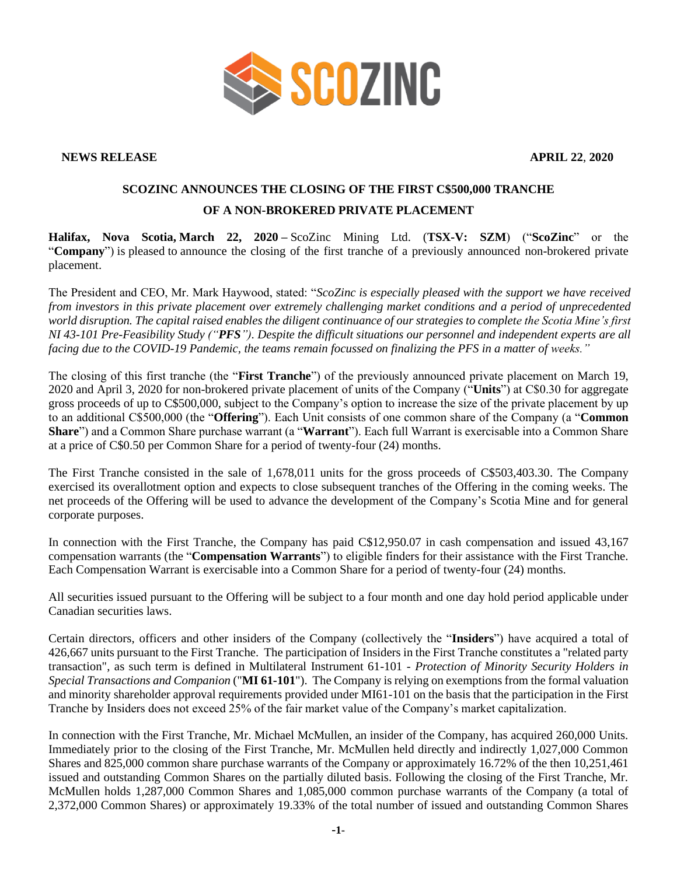

**NEWS RELEASE APRIL 22**, **2020**

## **SCOZINC ANNOUNCES THE CLOSING OF THE FIRST C\$500,000 TRANCHE OF A NON-BROKERED PRIVATE PLACEMENT**

**Halifax, Nova Scotia, March 22, 2020 –** ScoZinc Mining Ltd. (**TSX-V: SZM**) ("**ScoZinc**" or the "**Company**") is pleased to announce the closing of the first tranche of a previously announced non-brokered private placement.

The President and CEO, Mr. Mark Haywood, stated: "*ScoZinc is especially pleased with the support we have received from investors in this private placement over extremely challenging market conditions and a period of unprecedented world disruption. The capital raised enables the diligent continuance of our strategies to complete the Scotia Mine's first NI 43-101 Pre-Feasibility Study ("PFS"). Despite the difficult situations our personnel and independent experts are all facing due to the COVID-19 Pandemic, the teams remain focussed on finalizing the PFS in a matter of weeks."*

The closing of this first tranche (the "**First Tranche**") of the previously announced private placement on March 19, 2020 and April 3, 2020 for non-brokered private placement of units of the Company ("**Units**") at C\$0.30 for aggregate gross proceeds of up to C\$500,000, subject to the Company's option to increase the size of the private placement by up to an additional C\$500,000 (the "**Offering**"). Each Unit consists of one common share of the Company (a "**Common Share**") and a Common Share purchase warrant (a "**Warrant**"). Each full Warrant is exercisable into a Common Share at a price of C\$0.50 per Common Share for a period of twenty-four (24) months.

The First Tranche consisted in the sale of 1,678,011 units for the gross proceeds of C\$503,403.30. The Company exercised its overallotment option and expects to close subsequent tranches of the Offering in the coming weeks. The net proceeds of the Offering will be used to advance the development of the Company's Scotia Mine and for general corporate purposes.

In connection with the First Tranche, the Company has paid C\$12,950.07 in cash compensation and issued 43,167 compensation warrants (the "**Compensation Warrants**") to eligible finders for their assistance with the First Tranche. Each Compensation Warrant is exercisable into a Common Share for a period of twenty-four (24) months.

All securities issued pursuant to the Offering will be subject to a four month and one day hold period applicable under Canadian securities laws.

Certain directors, officers and other insiders of the Company (collectively the "**Insiders**") have acquired a total of 426,667 units pursuant to the First Tranche. The participation of Insiders in the First Tranche constitutes a "related party transaction", as such term is defined in Multilateral Instrument 61-101 - *Protection of Minority Security Holders in Special Transactions and Companion* ("**MI 61-101**"). The Company is relying on exemptions from the formal valuation and minority shareholder approval requirements provided under MI61-101 on the basis that the participation in the First Tranche by Insiders does not exceed 25% of the fair market value of the Company's market capitalization.

In connection with the First Tranche, Mr. Michael McMullen, an insider of the Company, has acquired 260,000 Units. Immediately prior to the closing of the First Tranche, Mr. McMullen held directly and indirectly 1,027,000 Common Shares and 825,000 common share purchase warrants of the Company or approximately 16.72% of the then 10,251,461 issued and outstanding Common Shares on the partially diluted basis. Following the closing of the First Tranche, Mr. McMullen holds 1,287,000 Common Shares and 1,085,000 common purchase warrants of the Company (a total of 2,372,000 Common Shares) or approximately 19.33% of the total number of issued and outstanding Common Shares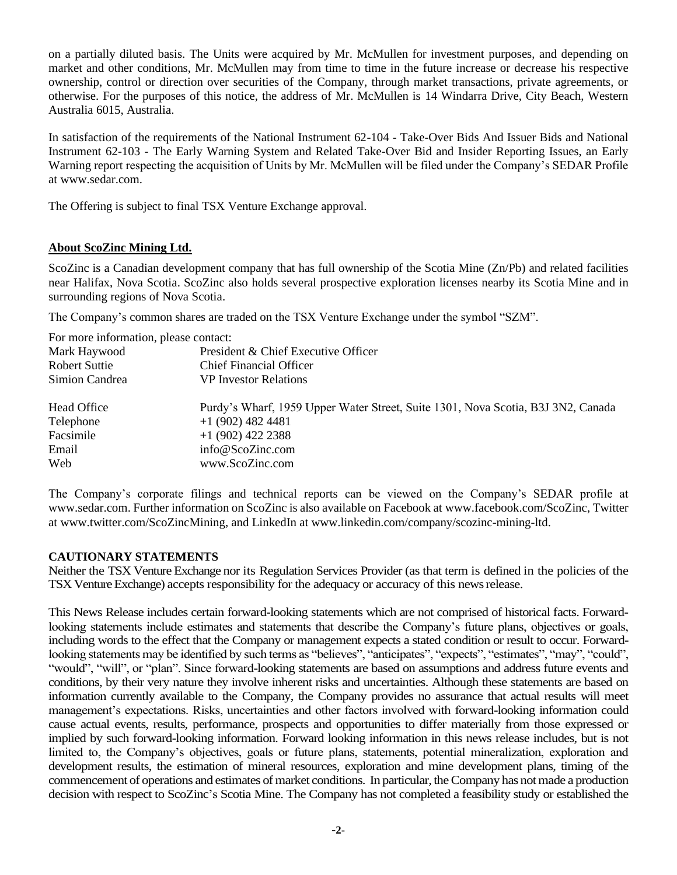on a partially diluted basis. The Units were acquired by Mr. McMullen for investment purposes, and depending on market and other conditions, Mr. McMullen may from time to time in the future increase or decrease his respective ownership, control or direction over securities of the Company, through market transactions, private agreements, or otherwise. For the purposes of this notice, the address of Mr. McMullen is 14 Windarra Drive, City Beach, Western Australia 6015, Australia.

In satisfaction of the requirements of the National Instrument 62-104 - Take-Over Bids And Issuer Bids and National Instrument 62-103 - The Early Warning System and Related Take-Over Bid and Insider Reporting Issues, an Early Warning report respecting the acquisition of Units by Mr. McMullen will be filed under the Company's SEDAR Profile at www.sedar.com.

The Offering is subject to final TSX Venture Exchange approval.

## **About ScoZinc Mining Ltd.**

ScoZinc is a Canadian development company that has full ownership of the Scotia Mine (Zn/Pb) and related facilities near Halifax, Nova Scotia. ScoZinc also holds several prospective exploration licenses nearby its Scotia Mine and in surrounding regions of Nova Scotia.

The Company's common shares are traded on the TSX Venture Exchange under the symbol "SZM".

For more information, please contact:

| I of more imformation, prease contact. |                                                                                  |
|----------------------------------------|----------------------------------------------------------------------------------|
| Mark Haywood                           | President & Chief Executive Officer                                              |
| Robert Suttie                          | <b>Chief Financial Officer</b>                                                   |
| Simion Candrea                         | <b>VP</b> Investor Relations                                                     |
| Head Office                            | Purdy's Wharf, 1959 Upper Water Street, Suite 1301, Nova Scotia, B3J 3N2, Canada |
| Telephone                              | $+1$ (902) 482 4481                                                              |
| Facsimile                              | $+1(902)$ 422 2388                                                               |
| Email                                  | info@ScoZinc.com                                                                 |
| Web                                    | www.ScoZinc.com                                                                  |
|                                        |                                                                                  |

The Company's corporate filings and technical reports can be viewed on the Company's SEDAR profile at [www.sedar.com.](http://www.sedar.com/) Further information on ScoZinc is also available on Facebook at www.facebook.com/ScoZinc, Twitter at www.twitter.com/ScoZincMining, and LinkedIn at www.linkedin.com/company/scozinc-mining-ltd.

## **CAUTIONARY STATEMENTS**

Neither the TSX Venture Exchange nor its Regulation Services Provider (as that term is defined in the policies of the TSX Venture Exchange) accepts responsibility for the adequacy or accuracy of this newsrelease.

This News Release includes certain forward-looking statements which are not comprised of historical facts. Forwardlooking statements include estimates and statements that describe the Company's future plans, objectives or goals, including words to the effect that the Company or management expects a stated condition or result to occur. Forwardlooking statements may be identified by such terms as "believes", "anticipates", "expects", "estimates", "may", "could", "would", "will", or "plan". Since forward-looking statements are based on assumptions and address future events and conditions, by their very nature they involve inherent risks and uncertainties. Although these statements are based on information currently available to the Company, the Company provides no assurance that actual results will meet management's expectations. Risks, uncertainties and other factors involved with forward-looking information could cause actual events, results, performance, prospects and opportunities to differ materially from those expressed or implied by such forward-looking information. Forward looking information in this news release includes, but is not limited to, the Company's objectives, goals or future plans, statements, potential mineralization, exploration and development results, the estimation of mineral resources, exploration and mine development plans, timing of the commencement of operations and estimates of market conditions. In particular, the Company has not made a production decision with respect to ScoZinc's Scotia Mine. The Company has not completed a feasibility study or established the